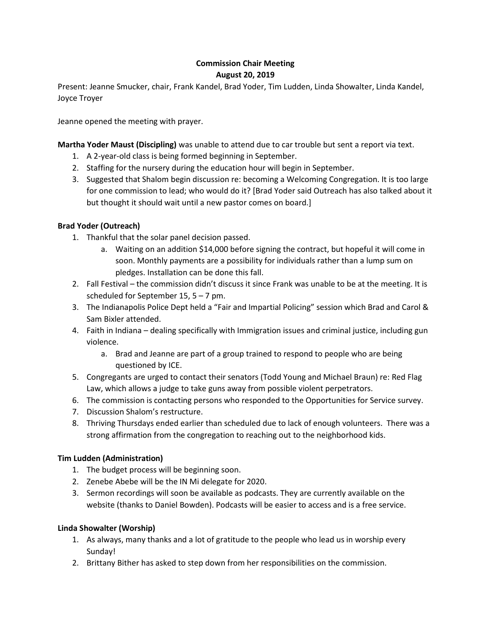# **Commission Chair Meeting August 20, 2019**

Present: Jeanne Smucker, chair, Frank Kandel, Brad Yoder, Tim Ludden, Linda Showalter, Linda Kandel, Joyce Troyer

Jeanne opened the meeting with prayer.

**Martha Yoder Maust (Discipling)** was unable to attend due to car trouble but sent a report via text.

- 1. A 2-year-old class is being formed beginning in September.
- 2. Staffing for the nursery during the education hour will begin in September.
- 3. Suggested that Shalom begin discussion re: becoming a Welcoming Congregation. It is too large for one commission to lead; who would do it? [Brad Yoder said Outreach has also talked about it but thought it should wait until a new pastor comes on board.]

## **Brad Yoder (Outreach)**

- 1. Thankful that the solar panel decision passed.
	- a. Waiting on an addition \$14,000 before signing the contract, but hopeful it will come in soon. Monthly payments are a possibility for individuals rather than a lump sum on pledges. Installation can be done this fall.
- 2. Fall Festival the commission didn't discuss it since Frank was unable to be at the meeting. It is scheduled for September 15, 5 – 7 pm.
- 3. The Indianapolis Police Dept held a "Fair and Impartial Policing" session which Brad and Carol & Sam Bixler attended.
- 4. Faith in Indiana dealing specifically with Immigration issues and criminal justice, including gun violence.
	- a. Brad and Jeanne are part of a group trained to respond to people who are being questioned by ICE.
- 5. Congregants are urged to contact their senators (Todd Young and Michael Braun) re: Red Flag Law, which allows a judge to take guns away from possible violent perpetrators.
- 6. The commission is contacting persons who responded to the Opportunities for Service survey.
- 7. Discussion Shalom's restructure.
- 8. Thriving Thursdays ended earlier than scheduled due to lack of enough volunteers. There was a strong affirmation from the congregation to reaching out to the neighborhood kids.

## **Tim Ludden (Administration)**

- 1. The budget process will be beginning soon.
- 2. Zenebe Abebe will be the IN Mi delegate for 2020.
- 3. Sermon recordings will soon be available as podcasts. They are currently available on the website (thanks to Daniel Bowden). Podcasts will be easier to access and is a free service.

## **Linda Showalter (Worship)**

- 1. As always, many thanks and a lot of gratitude to the people who lead us in worship every Sunday!
- 2. Brittany Bither has asked to step down from her responsibilities on the commission.